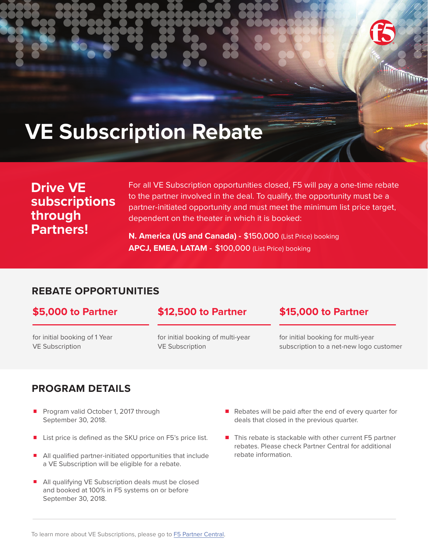

# **VE Subscription Rebate**

# **Drive VE subscriptions through Partners!**

For all VE Subscription opportunities closed, F5 will pay a one-time rebate to the partner involved in the deal. To qualify, the opportunity must be a partner-initiated opportunity and must meet the minimum list price target, dependent on the theater in which it is booked:

**N. America (US and Canada) -** \$150,000 (List Price) booking **APCJ, EMEA, LATAM -** \$100,000 (List Price) booking

# **REBATE OPPORTUNITIES**

# **\$5,000 to Partner \$12,500 to Partner \$15,000 to Partner**

for initial booking of 1 Year VE Subscription

for initial booking of multi-year VE Subscription

for initial booking for multi-year subscription to a net-new logo customer

# **PROGRAM DETAILS**

- Program valid October 1, 2017 through September 30, 2018.
- List price is defined as the SKU price on F5's price list.
- All qualified partner-initiated opportunities that include a VE Subscription will be eligible for a rebate.
- All qualifying VE Subscription deals must be closed and booked at 100% in F5 systems on or before September 30, 2018.
- $\blacksquare$  Rebates will be paid after the end of every quarter for deals that closed in the previous quarter.
- $\blacksquare$  This rebate is stackable with other current F5 partner rebates. Please check Partner Central for additional rebate information.